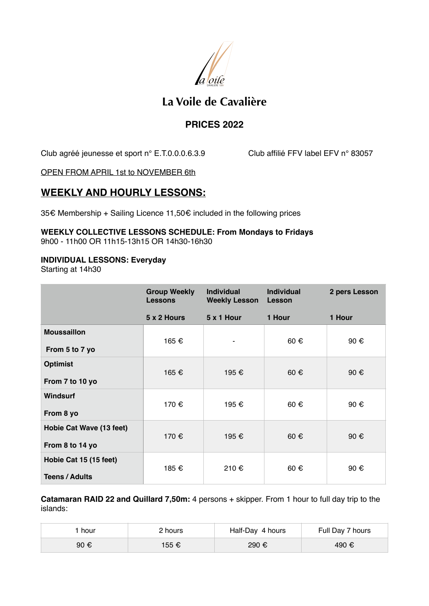

# **La Voile de Cavalière**

### **PRICES 2022**

Club agréé jeunesse et sport n° E.T.0.0.0.6.3.9 Club affilié FFV label EFV n° 83057

OPEN FROM APRIL 1st to NOVEMBER 6th

## **WEEKLY AND HOURLY LESSONS:**

35€ Membership + Sailing Licence 11,50€ included in the following prices

#### **WEEKLY COLLECTIVE LESSONS SCHEDULE: From Mondays to Fridays**  9h00 - 11h00 OR 11h15-13h15 OR 14h30-16h30

#### **INDIVIDUAL LESSONS: Everyday**

Starting at 14h30

|                          | <b>Group Weekly</b><br><b>Lessons</b> | <b>Individual</b><br><b>Weekly Lesson</b> | <b>Individual</b><br>Lesson | 2 pers Lesson |
|--------------------------|---------------------------------------|-------------------------------------------|-----------------------------|---------------|
|                          | 5 x 2 Hours                           | 5 x 1 Hour                                | 1 Hour                      | 1 Hour        |
| <b>Moussaillon</b>       | 165 €                                 |                                           | 60€                         | 90 €          |
| From 5 to 7 yo           |                                       |                                           |                             |               |
| <b>Optimist</b>          | 165 €                                 | 195 €                                     | $60 \text{ } \in$           | 90 €          |
| From 7 to 10 yo          |                                       |                                           |                             |               |
| <b>Windsurf</b>          | 170 €                                 | 195 €                                     | $60 \text{ } \in$           | 90 €          |
| From 8 yo                |                                       |                                           |                             |               |
| Hobie Cat Wave (13 feet) | 170 €                                 | 195 €                                     | $60 \text{ } \in$           | 90 €          |
| From 8 to 14 yo          |                                       |                                           |                             |               |
| Hobie Cat 15 (15 feet)   | 185 €                                 | 210 €                                     | $60 \text{ } \in$           | 90€           |
| <b>Teens / Adults</b>    |                                       |                                           |                             |               |

**Catamaran RAID 22 and Quillard 7,50m:** 4 persons + skipper. From 1 hour to full day trip to the islands:

| hour | 2 hours | Half-Day 4 hours | Full Day 7 hours |
|------|---------|------------------|------------------|
| 90 € | 155 €   | 290 €            | 490 €            |